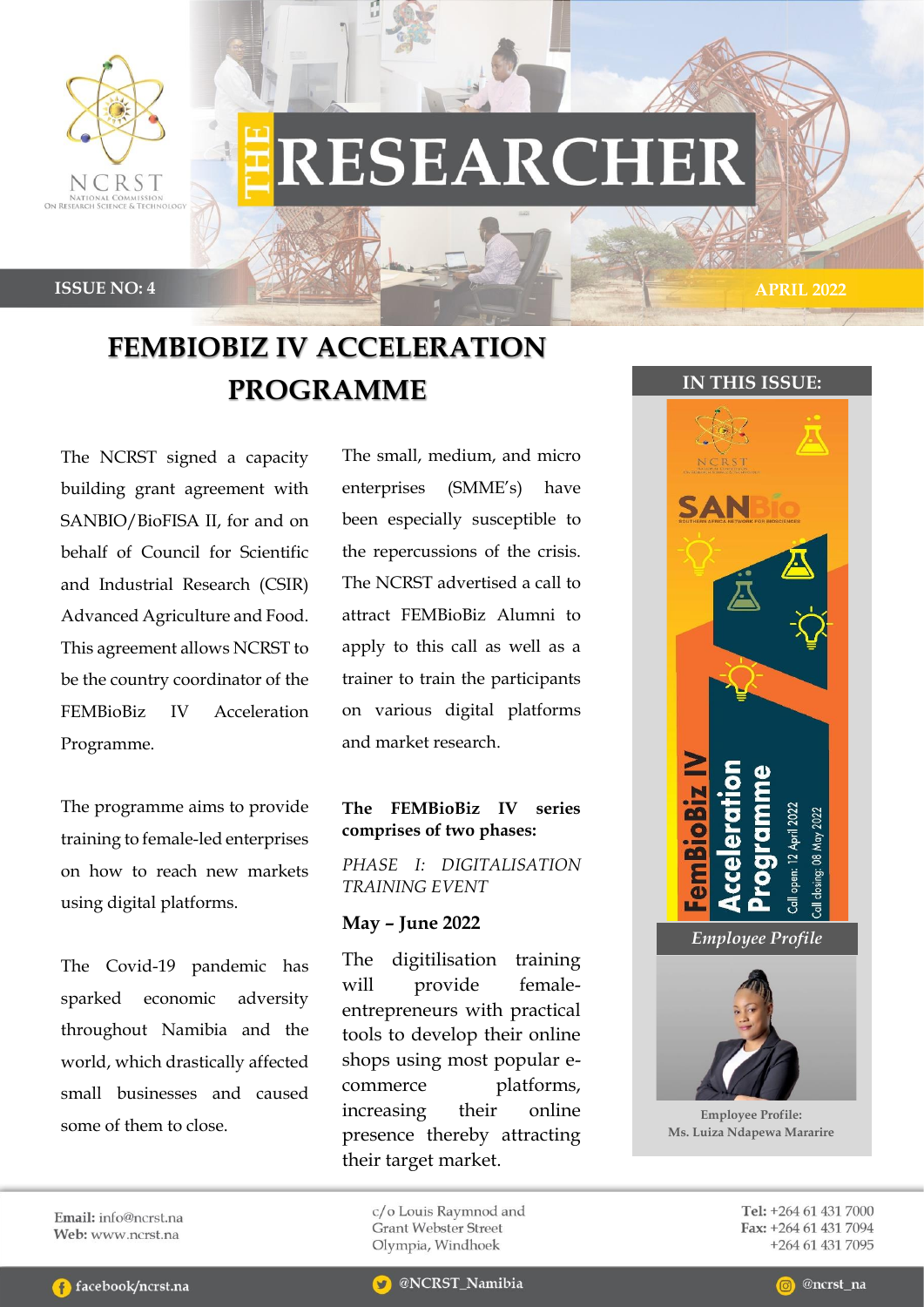

# **RESEARCHER**

 **1**

**ISSUE NO: 4 APRIL 2022**

## **FEMBIOBIZ IV ACCELERATION PROGRAMME IN THIS ISSUE:**

The NCRST signed a capacity building grant agreement with SANBIO/BioFISA II, for and on behalf of Council for Scientific and Industrial Research (CSIR) Advanced Agriculture and Food. This agreement allows NCRST to be the country coordinator of the FEMBioBiz IV Acceleration Programme.

The programme aims to provide training to female-led enterprises on how to reach new markets using digital platforms.

The Covid-19 pandemic has sparked economic adversity throughout Namibia and the world, which drastically affected small businesses and caused some of them to close.

The small, medium, and micro enterprises (SMME's) have been especially susceptible to the repercussions of the crisis. The NCRST advertised a call to attract FEMBioBiz Alumni to apply to this call as well as a trainer to train the participants on various digital platforms and market research.

## **The FEMBioBiz IV series comprises of two phases:**

*PHASE I: DIGITALISATION TRAINING EVENT*

## **May – June 2022**

The digitilisation training will provide femaleentrepreneurs with practical tools to develop their online shops using most popular ecommerce platforms, increasing their online presence thereby attracting their target market.

#### c/o Louis Raymnod and **Grant Webster Street** Olympia, Windhoek



**Employee Profile: Ms. Luiza Ndapewa Mararire**

Tel: +264 61 431 7000 Fax: +264 61 431 7094 +264 61 431 7095

Email: info@ncrst.na Web: www.ncrst.na

**C** facebook/ncrst.na

@ncrst na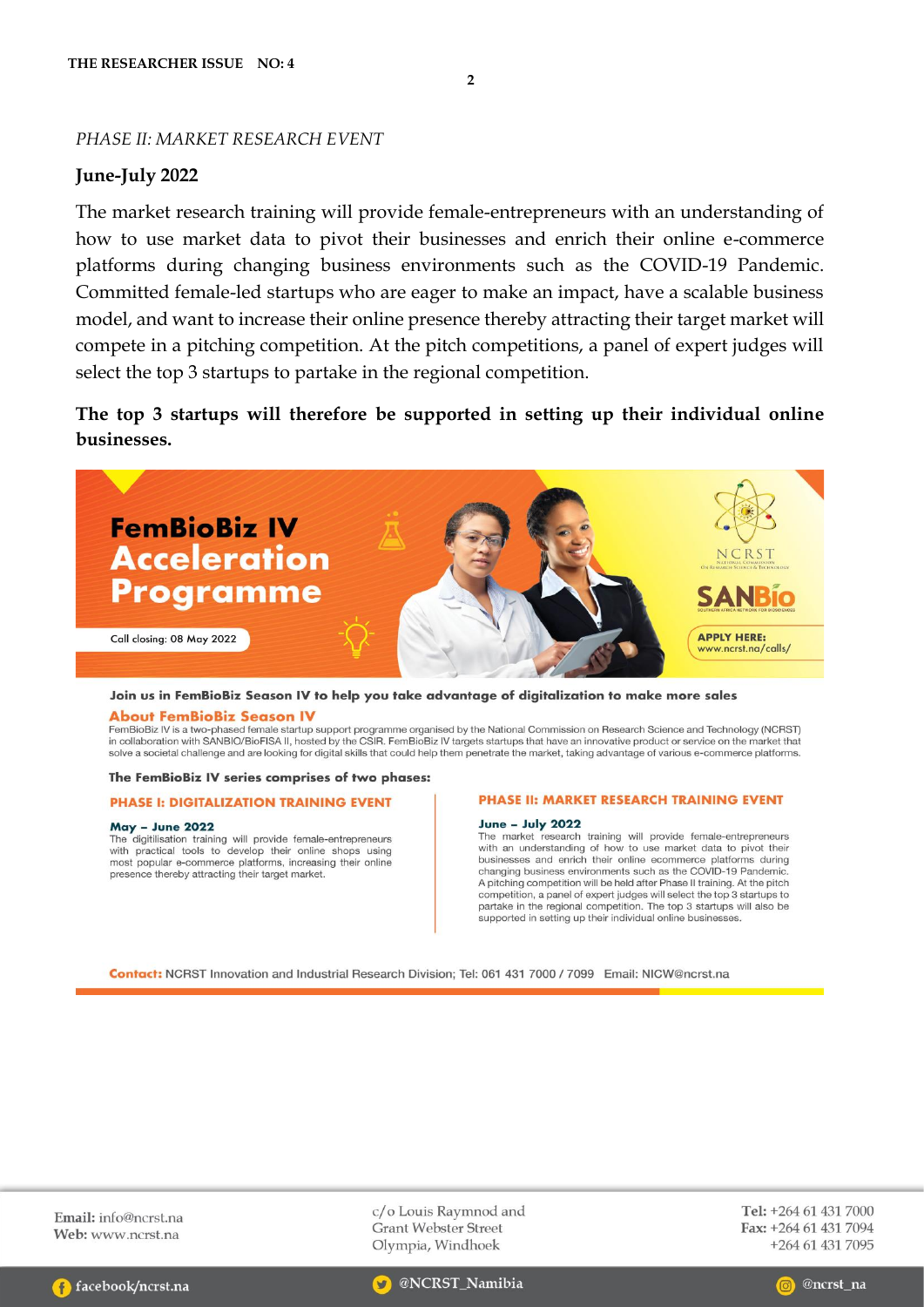### PHASE II: MARKET RESEARCH EVENT

## June-July 2022

The market research training will provide female-entrepreneurs with an understanding of how to use market data to pivot their businesses and enrich their online e-commerce platforms during changing business environments such as the COVID-19 Pandemic. Committed female-led startups who are eager to make an impact, have a scalable business model, and want to increase their online presence thereby attracting their target market will compete in a pitching competition. At the pitch competitions, a panel of expert judges will select the top 3 startups to partake in the regional competition.

 $\overline{2}$ 

The top 3 startups will therefore be supported in setting up their individual online businesses.



#### Join us in FemBioBiz Season IV to help you take advantage of digitalization to make more sales

#### **About FemBioBiz Season IV**

FemBioBiz IV is a two-phased female startup support programme organised by the National Commission on Research Science and Technology (NCRST) in collaboration with SANBIO/BioFISA II, hosted by the CSIR. FemBioBiz IV targets startups that have an innovative product or service on the market that in collaboration with SANBIO/BioFISA II, hosted by the CSIR. FemBioBi solve a societal challenge and are looking for digital skills that could help them penetrate the market, taking advantage of various e-commerce platforms.

#### The FemBioBiz IV series comprises of two phases:

#### **PHASE I: DIGITALIZATION TRAINING EVENT**

#### **May - June 2022**

The digitilisation training will provide female-entrepreneurs<br>with practical tools to develop their online shops using most popular e-commerce platforms, increasing their online presence thereby attracting their target market.

#### PHASE II: MARKET RESEARCH TRAINING EVENT

#### **June - July 2022**

The market research training will provide female-entrepreneurs with an understanding of how to use market data to pivot their businesses and enrich their online ecommerce platforms during changing business environments such as the COVID-19 Pandemic. A pitching competition will be held after Phase II training. At the pitch competition, a panel of expert judges will select the top 3 startups to partake in the regional competition. The top 3 startups will also be supported in setting up their individual online businesses.

Contact: NCRST Innovation and Industrial Research Division; Tel: 061 431 7000 / 7099 Email: NICW@ncrst.na

Email:  $info@ncrst$  na Web: www.ncrst.na

c/o Louis Raymnod and **Grant Webster Street** Olympia, Windhoek

Tel: +264 61 431 7000 Fax: +264 61 431 7094 +264 61 431 7095



@NCRST\_Namibia

@ncrst na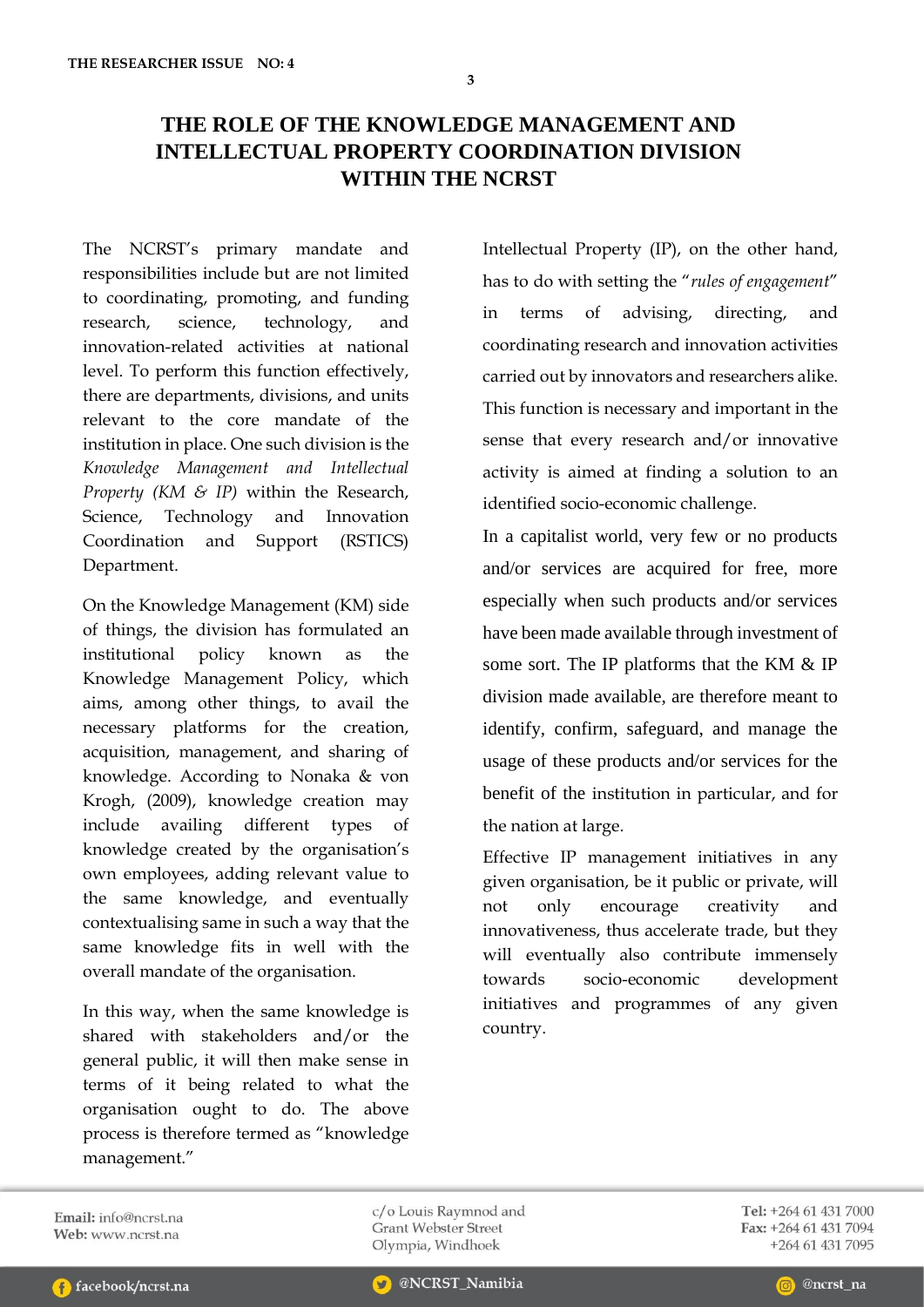## **THE ROLE OF THE KNOWLEDGE MANAGEMENT AND INTELLECTUAL PROPERTY COORDINATION DIVISION WITHIN THE NCRST**

The NCRST's primary mandate and responsibilities include but are not limited to coordinating, promoting, and funding research, science, technology, and innovation-related activities at national level. To perform this function effectively, there are departments, divisions, and units relevant to the core mandate of the institution in place. One such division is the *Knowledge Management and Intellectual Property (KM & IP)* within the Research, Science, Technology and Innovation Coordination and Support (RSTICS) Department.

On the Knowledge Management (KM) side of things, the division has formulated an institutional policy known as the Knowledge Management Policy, which aims, among other things, to avail the necessary platforms for the creation, acquisition, management, and sharing of knowledge. According to Nonaka & von Krogh, (2009), knowledge creation may include availing different types of knowledge created by the organisation's own employees, adding relevant value to the same knowledge, and eventually contextualising same in such a way that the same knowledge fits in well with the overall mandate of the organisation.

In this way, when the same knowledge is shared with stakeholders and/or the general public, it will then make sense in terms of it being related to what the organisation ought to do. The above process is therefore termed as "knowledge management."

Intellectual Property (IP), on the other hand, has to do with setting the "*rules of engagement*" in terms of advising, directing, and coordinating research and innovation activities carried out by innovators and researchers alike. This function is necessary and important in the sense that every research and/or innovative activity is aimed at finding a solution to an identified socio-economic challenge.

In a capitalist world, very few or no products and/or services are acquired for free, more especially when such products and/or services have been made available through investment of some sort. The IP platforms that the KM & IP division made available, are therefore meant to identify, confirm, safeguard, and manage the usage of these products and/or services for the benefit of the institution in particular, and for the nation at large.

Effective IP management initiatives in any given organisation, be it public or private, will not only encourage creativity and innovativeness, thus accelerate trade, but they will eventually also contribute immensely towards socio-economic development initiatives and programmes of any given country.

Email: info@ncrst.na Web: www.ncrst.na

c/o Louis Raymnod and **Grant Webster Street** Olympia, Windhoek

Tel: +264 61 431 7000 Fax: +264 61 431 7094 +264 61 431 7095